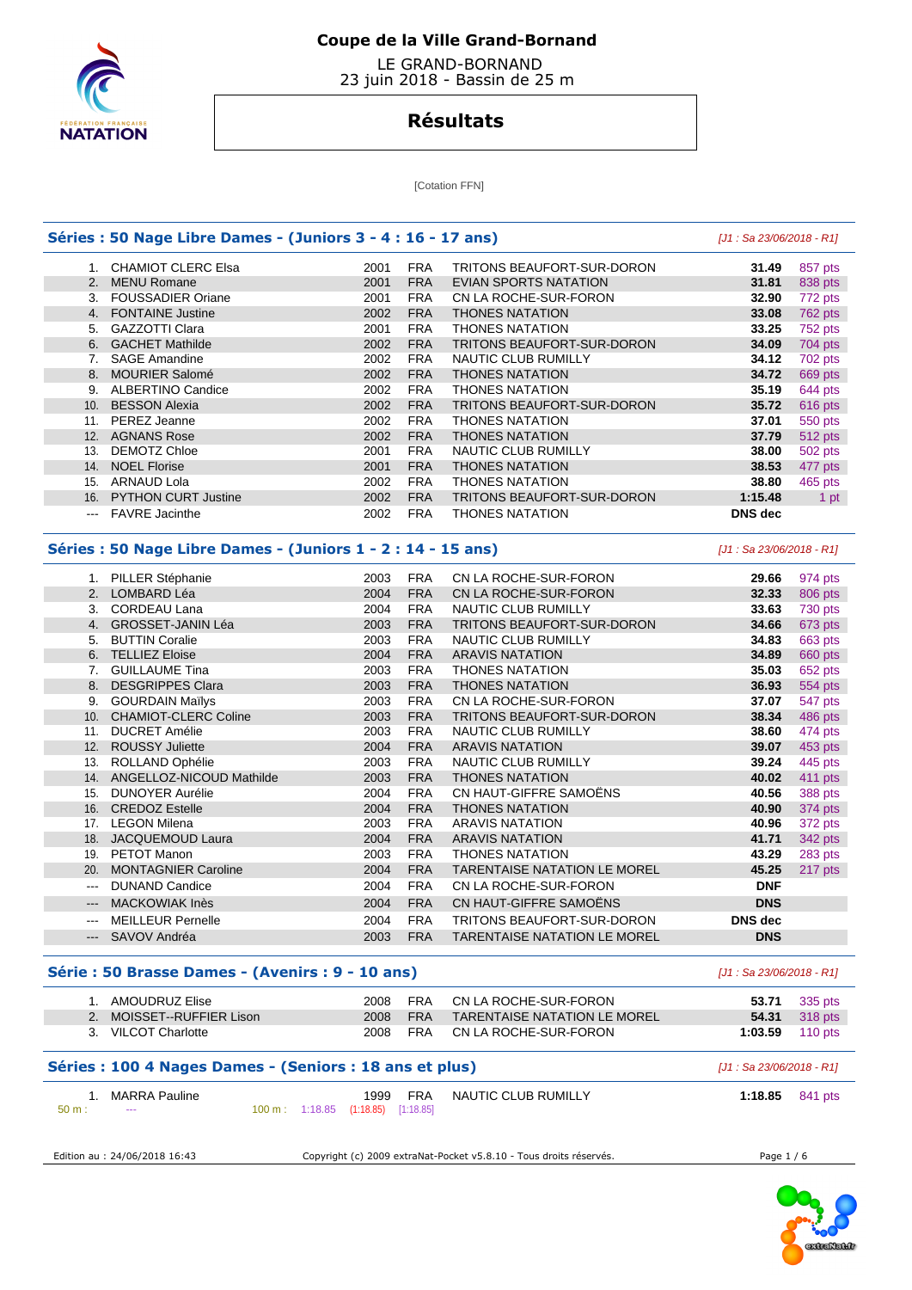

 LE GRAND-BORNAND 23 juin 2018 - Bassin de 25 m

# **Résultats**

[Cotation FFN]

|                          | Séries : 50 Nage Libre Dames - (Juniors 3 - 4 : 16 - 17 ans) |                                    |            |                                                                    | [J1 : Sa 23/06/2018 - R1]  |                |
|--------------------------|--------------------------------------------------------------|------------------------------------|------------|--------------------------------------------------------------------|----------------------------|----------------|
|                          | 1. CHAMIOT CLERC Elsa                                        | 2001                               | <b>FRA</b> | TRITONS BEAUFORT-SUR-DORON                                         | 31.49                      | 857 pts        |
|                          | 2. MENU Romane                                               | 2001                               | <b>FRA</b> | <b>EVIAN SPORTS NATATION</b>                                       | 31.81                      | 838 pts        |
|                          | 3. FOUSSADIER Oriane                                         | 2001                               | <b>FRA</b> | CN LA ROCHE-SUR-FORON                                              | 32.90                      | 772 pts        |
|                          | 4. FONTAINE Justine                                          | 2002                               | <b>FRA</b> | <b>THONES NATATION</b>                                             | 33.08                      | <b>762 pts</b> |
|                          | 5. GAZZOTTI Clara                                            | 2001                               | <b>FRA</b> | <b>THONES NATATION</b>                                             | 33.25                      | 752 pts        |
| 6.                       | <b>GACHET Mathilde</b>                                       | 2002                               | <b>FRA</b> | TRITONS BEAUFORT-SUR-DORON                                         | 34.09                      | 704 pts        |
|                          | 7. SAGE Amandine                                             | 2002                               | <b>FRA</b> | NAUTIC CLUB RUMILLY                                                | 34.12                      | 702 pts        |
| 8.                       | <b>MOURIER Salomé</b>                                        | 2002                               | <b>FRA</b> | <b>THONES NATATION</b>                                             | 34.72                      | 669 pts        |
|                          | 9. ALBERTINO Candice                                         | 2002                               | <b>FRA</b> | <b>THONES NATATION</b>                                             | 35.19                      | 644 pts        |
| 10.                      | <b>BESSON Alexia</b>                                         | 2002                               | <b>FRA</b> | TRITONS BEAUFORT-SUR-DORON                                         | 35.72                      | 616 pts        |
|                          | 11. PEREZ Jeanne                                             | 2002                               | <b>FRA</b> | <b>THONES NATATION</b>                                             | 37.01                      | 550 pts        |
|                          | 12. AGNANS Rose                                              | 2002                               | <b>FRA</b> | <b>THONES NATATION</b>                                             | 37.79                      | 512 pts        |
|                          | 13. DEMOTZ Chloe                                             | 2001                               | <b>FRA</b> | NAUTIC CLUB RUMILLY                                                | 38.00                      | 502 pts        |
|                          | 14. NOEL Florise                                             | 2001                               | <b>FRA</b> | <b>THONES NATATION</b>                                             | 38.53                      | 477 pts        |
|                          | 15. ARNAUD Lola                                              | 2002                               | <b>FRA</b> | <b>THONES NATATION</b>                                             | 38.80                      | 465 pts        |
| 16.                      | <b>PYTHON CURT Justine</b>                                   | 2002                               | <b>FRA</b> | TRITONS BEAUFORT-SUR-DORON                                         | 1:15.48                    | 1 pt           |
| $\sim$ $\sim$            | <b>FAVRE</b> Jacinthe                                        | 2002                               | <b>FRA</b> | <b>THONES NATATION</b>                                             | DNS dec                    |                |
|                          |                                                              |                                    |            |                                                                    |                            |                |
|                          | Séries : 50 Nage Libre Dames - (Juniors 1 - 2 : 14 - 15 ans) |                                    |            |                                                                    | [J1: Sa 23/06/2018 - R1]   |                |
|                          | 1. PILLER Stéphanie                                          | 2003                               | <b>FRA</b> | CN LA ROCHE-SUR-FORON                                              | 29.66                      | 974 pts        |
|                          | 2. LOMBARD Léa                                               | 2004                               | <b>FRA</b> | CN LA ROCHE-SUR-FORON                                              | 32.33                      | 806 pts        |
|                          | 3. CORDEAU Lana                                              | 2004                               | <b>FRA</b> | NAUTIC CLUB RUMILLY                                                | 33.63                      | 730 pts        |
|                          | 4. GROSSET-JANIN Léa                                         | 2003                               | <b>FRA</b> | TRITONS BEAUFORT-SUR-DORON                                         | 34.66                      | 673 pts        |
|                          | 5. BUTTIN Coralie                                            | 2003                               | <b>FRA</b> | <b>NAUTIC CLUB RUMILLY</b>                                         | 34.83                      | 663 pts        |
|                          | 6. TELLIEZ Eloise                                            | 2004                               | <b>FRA</b> | <b>ARAVIS NATATION</b>                                             | 34.89                      | 660 pts        |
| 7.                       | <b>GUILLAUME Tina</b>                                        | 2003                               | <b>FRA</b> | <b>THONES NATATION</b>                                             | 35.03                      | 652 pts        |
| 8.                       | <b>DESGRIPPES Clara</b>                                      | 2003                               | <b>FRA</b> | <b>THONES NATATION</b>                                             | 36.93                      | 554 pts        |
|                          | 9. GOURDAIN Mailys                                           | 2003                               | <b>FRA</b> | CN LA ROCHE-SUR-FORON                                              | 37.07                      | 547 pts        |
| 10.                      | <b>CHAMIOT-CLERC Coline</b>                                  | 2003                               | <b>FRA</b> | TRITONS BEAUFORT-SUR-DORON                                         | 38.34                      | 486 pts        |
|                          | 11. DUCRET Amélie                                            | 2003                               | <b>FRA</b> | NAUTIC CLUB RUMILLY                                                | 38.60                      | 474 pts        |
| 12.                      | <b>ROUSSY Juliette</b>                                       | 2004                               | <b>FRA</b> | <b>ARAVIS NATATION</b>                                             | 39.07                      | 453 pts        |
| 13.                      | ROLLAND Ophélie                                              | 2003                               | <b>FRA</b> | NAUTIC CLUB RUMILLY                                                | 39.24                      | 445 pts        |
|                          | 14. ANGELLOZ-NICOUD Mathilde                                 | 2003                               | <b>FRA</b> | <b>THONES NATATION</b>                                             | 40.02                      | 411 pts        |
| 15.                      | <b>DUNOYER Aurélie</b>                                       | 2004                               | <b>FRA</b> | CN HAUT-GIFFRE SAMOËNS                                             | 40.56                      | <b>388 pts</b> |
| 16.                      | <b>CREDOZ Estelle</b>                                        | 2004                               | <b>FRA</b> | <b>THONES NATATION</b>                                             | 40.90                      | 374 pts        |
|                          | 17. LEGON Milena                                             | 2003                               | <b>FRA</b> | <b>ARAVIS NATATION</b>                                             | 40.96                      | 372 pts        |
| 18.                      | JACQUEMOUD Laura                                             | 2004                               | <b>FRA</b> | <b>ARAVIS NATATION</b>                                             | 41.71                      | 342 pts        |
| 19.                      | PETOT Manon                                                  | 2003                               | <b>FRA</b> | <b>THONES NATATION</b>                                             | 43.29                      | 283 pts        |
|                          |                                                              |                                    |            |                                                                    |                            |                |
| 20.                      | <b>MONTAGNIER Caroline</b>                                   | 2004                               | <b>FRA</b> | <b>TARENTAISE NATATION LE MOREL</b>                                | 45.25                      | 217 pts        |
| $\hspace{0.05cm} \ldots$ | <b>DUNAND Candice</b>                                        | 2004                               | <b>FRA</b> | CN LA ROCHE-SUR-FORON                                              | <b>DNF</b>                 |                |
| $\qquad \qquad - -$      | <b>MACKOWIAK Inès</b>                                        | 2004                               | <b>FRA</b> | CN HAUT-GIFFRE SAMOENS                                             | <b>DNS</b>                 |                |
|                          | MEILLEUR Pernelle                                            | 2004                               | <b>FRA</b> | TRITONS BEAUFORT-SUR-DORON                                         | DNS dec                    |                |
|                          | SAVOV Andréa                                                 | 2003                               | <b>FRA</b> | <b>TARENTAISE NATATION LE MOREL</b>                                | <b>DNS</b>                 |                |
|                          | Série : 50 Brasse Dames - (Avenirs : 9 - 10 ans)             |                                    |            |                                                                    | [J1 : Sa 23/06/2018 - R1]  |                |
|                          | 1. AMOUDRUZ Elise                                            | 2008                               | <b>FRA</b> | CN LA ROCHE-SUR-FORON                                              | 53.71                      | 335 pts        |
|                          | 2. MOISSET--RUFFIER Lison                                    | 2008                               | <b>FRA</b> | TARENTAISE NATATION LE MOREL                                       | 54.31                      | 318 pts        |
|                          | 3. VILCOT Charlotte                                          | 2008                               | <b>FRA</b> | CN LA ROCHE-SUR-FORON                                              | 1:03.59                    | 110 pts        |
|                          | Séries : 100 4 Nages Dames - (Seniors : 18 ans et plus)      |                                    |            |                                                                    | $[J1: Sa 23/06/2018 - R1]$ |                |
|                          | 1. MARRA Pauline                                             | 1999                               | <b>FRA</b> | NAUTIC CLUB RUMILLY                                                | 1:18.85                    | 841 pts        |
| 50 m:                    | $- - -$                                                      | 100 m: 1:18.85 (1:18.85) [1:18.85] |            |                                                                    |                            |                |
|                          | Edition au : 24/06/2018 16:43                                |                                    |            | Copyright (c) 2009 extraNat-Pocket v5.8.10 - Tous droits réservés. | Page 1 / 6                 |                |
|                          |                                                              |                                    |            |                                                                    |                            |                |

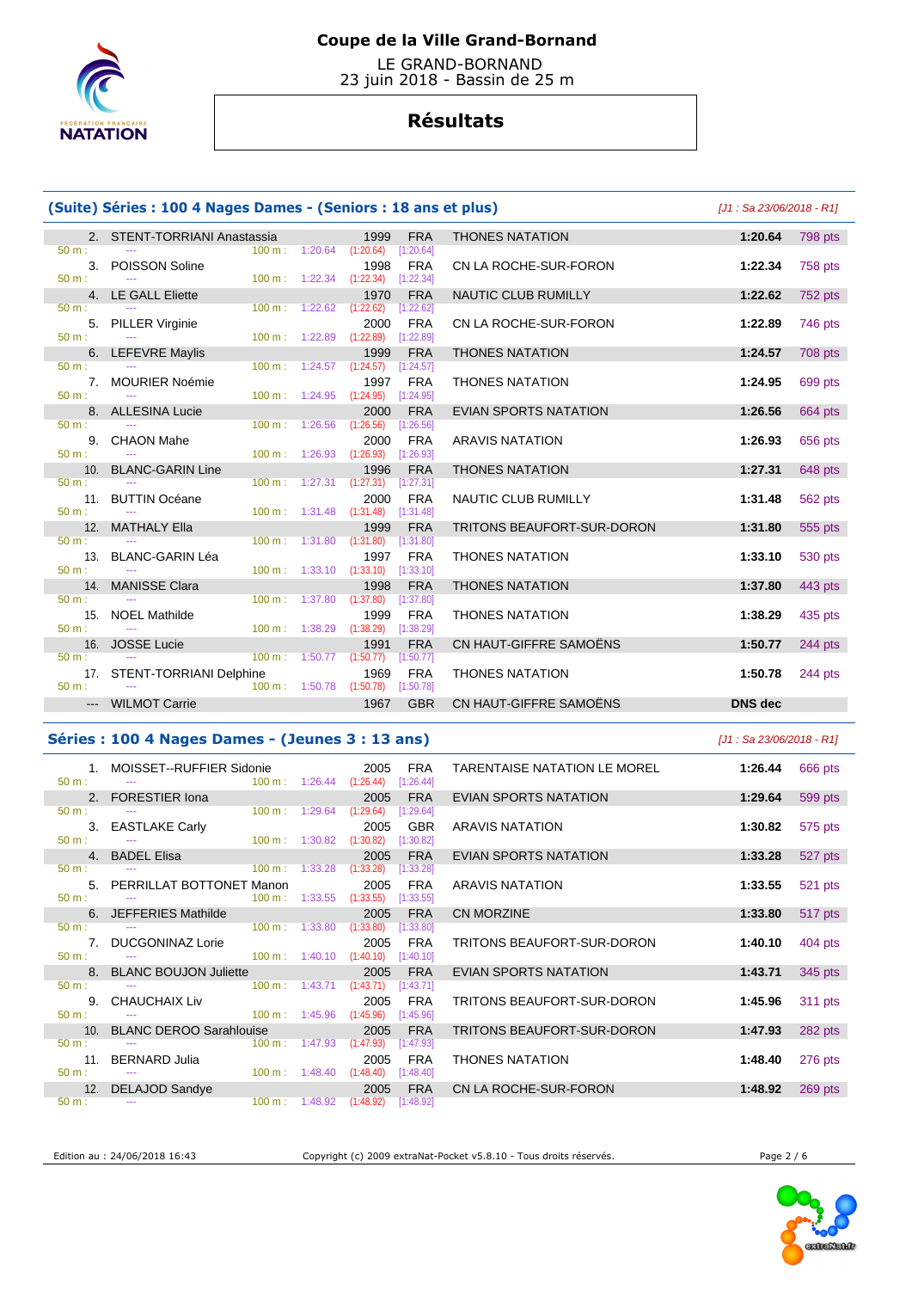

 LE GRAND-BORNAND 23 juin 2018 - Bassin de 25 m

## **Résultats**

## **(Suite) Séries : 100 4 Nages Dames - (Seniors : 18 ans et plus)** [J1 : Sa 23/06/2018 - R1]

|                                | 2. STENT-TORRIANI Anastassia                                                    |                          |                                    | $\sim$ 1999 $\sim$                         | <b>FRA</b> | <b>THONES NATATION</b>       | 1:20.64        | 798 pts |
|--------------------------------|---------------------------------------------------------------------------------|--------------------------|------------------------------------|--------------------------------------------|------------|------------------------------|----------------|---------|
| 50 m:                          | <b>Service</b> and the service of the                                           |                          |                                    | 100 m: 1:20.64 (1:20.64) [1:20.64]         |            |                              |                |         |
|                                | 3. POISSON Soline<br>$50 \text{ m}$ : $\qquad -\frac{1}{2}$                     |                          |                                    | 1998<br>100 m: 1:22.34 (1:22.34) [1:22.34] | FRA        | CN LA ROCHE-SUR-FORON        | 1:22.34        | 758 pts |
|                                | 4. LE GALL Eliette                                                              |                          |                                    | 1970                                       | <b>FRA</b> | NAUTIC CLUB RUMILLY          | 1:22.62        | 752 pts |
| 50 m:                          | the company of the company of the                                               | $100 \text{ m}: 1:22.62$ |                                    | $(1:22.62)$ [1:22.62]                      |            |                              |                |         |
|                                | 5. PILLER Virginie                                                              |                          |                                    | 2000                                       | FRA        | CN LA ROCHE-SUR-FORON        | 1:22.89        | 746 pts |
| $50 m$ :                       |                                                                                 |                          |                                    | 100 m: 1:22.89 (1:22.89) [1:22.89]         |            |                              |                |         |
|                                | 6. LEFEVRE Maylis                                                               |                          |                                    | 1999                                       | <b>FRA</b> | <b>THONES NATATION</b>       | 1:24.57        | 708 pts |
| 50 m:                          | $\sim$ $\sim$ $\sim$<br>7. MOURIER Noémie                                       |                          |                                    | 100 m: 1:24.57 (1:24.57) [1:24.57]         | 1997 FRA   | <b>THONES NATATION</b>       | 1:24.95        | 699 pts |
| $50 \text{ m}$ :               | <b>Continued</b>                                                                |                          |                                    | 100 m: 1:24.95 (1:24.95) [1:24.95]         |            |                              |                |         |
|                                | 8. ALLESINA Lucie                                                               |                          |                                    | 2000                                       | <b>FRA</b> | <b>EVIAN SPORTS NATATION</b> | 1:26.56        | 664 pts |
| $50 \text{ m}$ :               | the company of the company of the company                                       |                          | $100 \text{ m}: 1:26.56$           | $(1:26.56)$ [1:26.56]                      |            |                              |                |         |
|                                | 9. CHAON Mahe                                                                   |                          |                                    | 2000                                       | FRA        | <b>ARAVIS NATATION</b>       | 1:26.93        | 656 pts |
| $50 m:$ ---                    |                                                                                 |                          |                                    | 100 m: 1:26.93 (1:26.93) [1:26.93]         |            |                              |                |         |
| 50 m:                          | 10. BLANC-GARIN Line                                                            |                          |                                    | 1996<br>100 m: 1:27.31 (1:27.31) [1:27.31] | <b>FRA</b> | <b>THONES NATATION</b>       | 1:27.31        | 648 pts |
|                                | 11. BUTTIN Océane                                                               |                          |                                    |                                            | 2000 FRA   | NAUTIC CLUB RUMILLY          | 1:31.48        | 562 pts |
|                                | $50 \text{ m}$ : $-$                                                            |                          |                                    | 100 m: 1:31.48 (1:31.48) [1:31.48]         |            |                              |                |         |
|                                | 12. MATHALY Ella                                                                |                          |                                    | 1999                                       | <b>FRA</b> | TRITONS BEAUFORT-SUR-DORON   | 1:31.80        | 555 pts |
| $50 \text{ m}$ :               | the company of the company of the                                               |                          | $100 \text{ m}: 1:31.80 (1:31.80)$ |                                            | [1:31.80]  |                              |                |         |
|                                | 13. BLANC-GARIN Léa                                                             |                          |                                    |                                            | 1997 FRA   | <b>THONES NATATION</b>       | 1:33.10        | 530 pts |
|                                | $50 \text{ m}$ : $-$<br>14. MANISSE Clara                                       |                          |                                    | 100 m: 1:33.10 (1:33.10) [1:33.10]<br>1998 | <b>FRA</b> | <b>THONES NATATION</b>       | 1:37.80        |         |
| $50 m$ :                       | <b>State State</b>                                                              |                          |                                    | 100 m: 1:37.80 (1:37.80) [1:37.80]         |            |                              |                | 443 pts |
|                                | 15. NOEL Mathilde                                                               |                          |                                    | 1999                                       | <b>FRA</b> | <b>THONES NATATION</b>       | 1:38.29        | 435 pts |
| $50 m$ :                       | <b>Contract Contract</b>                                                        |                          |                                    | 100 m: 1:38.29 (1:38.29) [1:38.29]         |            |                              |                |         |
|                                | 16. JOSSE Lucie                                                                 |                          |                                    | 1991                                       | <b>FRA</b> | CN HAUT-GIFFRE SAMOËNS       | 1:50.77        | 244 pts |
| $50 m:$ $\cdots$               |                                                                                 |                          |                                    | 100 m: 1:50.77 (1:50.77) [1:50.77]         |            |                              |                |         |
| $50 \text{ m}$ : $\frac{1}{2}$ | 17. STENT-TORRIANI Delphine<br>$100 \text{ m}: 1:50.78$ $(1:50.78)$ $[1:50.78]$ |                          |                                    | 1969 FRA                                   |            | <b>THONES NATATION</b>       | 1:50.78        | 244 pts |
|                                | --- WILMOT Carrie                                                               |                          |                                    |                                            | 1967 GBR   | CN HAUT-GIFFRE SAMOËNS       | <b>DNS</b> dec |         |
|                                |                                                                                 |                          |                                    |                                            |            |                              |                |         |

50 m : --- 100 m : 1:48.92 (1:48.92) [1:48.92]

#### 17. STENT-TORRIANI Delphine 1969 FRA THONES NATATION **1:50.78** 244 pts **Séries : 100 4 Nages Dames - (Jeunes 3 : 13 ans)** [J1 : Sa 23/06/2018 - R1] 1. MOISSET--RUFFIER Sidonie 2005 FRA TARENTAISE NATATION LE MOREL **1:26.44** 666 pts  $(1:26.44)$  2. FORESTIER Iona 2005 FRA EVIAN SPORTS NATATION **1:29.64** 599 pts 50 m : --- 100 m : 1:29.64 (1:29.64) [1:29.64] 3. EASTLAKE Carly 2005 GBR ARAVIS NATATION **1:30.82** 575 pts 50 m : --- - -- - - - - - - - - - - - - 100 m : 1:30.82 (1:30.82) [1:30.82] 4. BADEL Elisa 2005 FRA EVIAN SPORTS NATATION **1:33.28** 527 pts 50 m : --- 100 m : 1:33.28 (1:33.28) [1:33.28] 5. PERRILLAT BOTTONET Manon 2005 FRA ARAVIS NATATION **1:33.55** 521 pts 50 m : --- 100 m : 1:33.55 6. JEFFERIES Mathilde 2005 FRA CN MORZINE **1:33.80** 517 pts 50 m : --- - -- - - - - - - - - - - - - 100 m : 1:33.80 (1:33.80) [1:33.80] 7. DUCGONINAZ Lorie 2005 FRA TRITONS BEAUFORT-SUR-DORON **1:40.10** 404 pts 50 m : --- 100 m : 1:40.10 (1:40.10) [1:40.10] 8. BLANC BOUJON Juliette 2005 FRA EVIAN SPORTS NATATION **1:43.71** 345 pts 50 m : --- 100 m : 1:43.71 (1:43.71) 9. CHAUCHAIX Liv 2005 FRA TRITONS BEAUFORT-SUR-DORON **1:45.96** 311 pts 50 m : --- 100 m : 1:45.96 (1:45.96) [1:45.96] 10. BLANC DEROO Sarahlouise 2005 FRA TRITONS BEAUFORT-SUR-DORON **1:47.93** 282 pts 50 m : --- - -- - - - - - - - - - - - 100 m : 1:47.93 (1:47.93) [1:47.93] 11. BERNARD Julia 2005 FRA THONES NATATION **1:48.40** 276 pts 50 m : --- 100 m : 1:48.40 (1:48.40) [1:48.40]

Edition au : 24/06/2018 16:43 Copyright (c) 2009 extraNat-Pocket v5.8.10 - Tous droits réservés. Page 2 / 6

12. DELAJOD Sandye 2005 FRA CN LA ROCHE-SUR-FORON **1:48.92** 269 pts

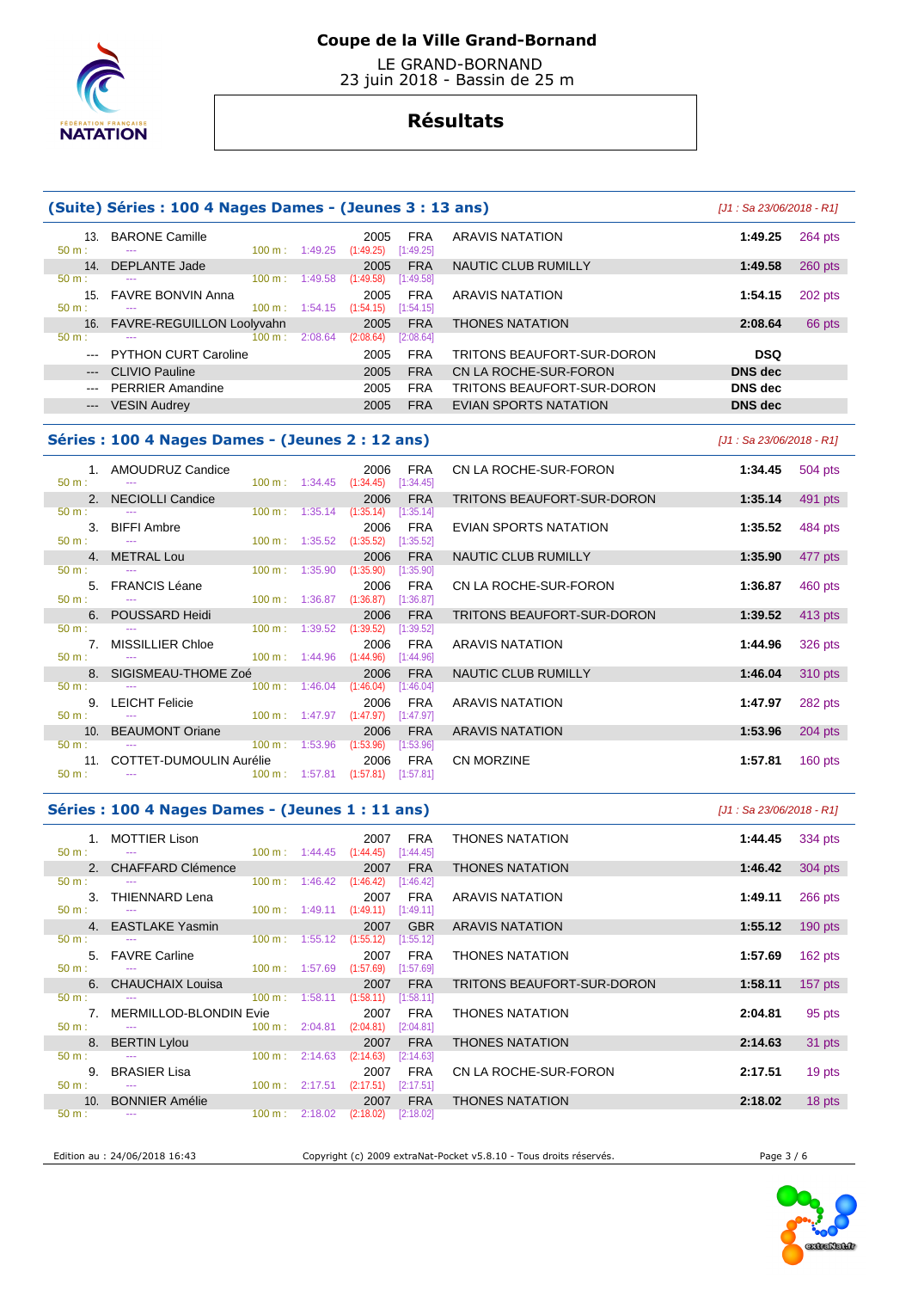

 LE GRAND-BORNAND 23 juin 2018 - Bassin de 25 m

# **Résultats**

| (Suite) Séries : 100 4 Nages Dames - (Jeunes 3 : 13 ans) |
|----------------------------------------------------------|
|----------------------------------------------------------|

| 13.<br>$50 \text{ m}$ : | <b>BARONE Camille</b><br>--- |                   | $100 \text{ m}: 1:49.25$ | 2005<br>(1:49.25) | <b>FRA</b><br>[1:49.25] | ARAVIS NATATION            | 1:49.25        | 264 pts   |
|-------------------------|------------------------------|-------------------|--------------------------|-------------------|-------------------------|----------------------------|----------------|-----------|
| 14                      | DEPLANTE Jade                |                   |                          | 2005              | <b>FRA</b>              | NAUTIC CLUB RUMILLY        | 1:49.58        | $260$ pts |
| 50 m:                   | ---                          | 100 m:            | 1:49.58                  | (1:49.58)         | [1:49.58]               |                            |                |           |
| 15.                     | <b>FAVRE BONVIN Anna</b>     |                   |                          | 2005              | <b>FRA</b>              | <b>ARAVIS NATATION</b>     | 1:54.15        | 202 pts   |
| $50 \text{ m}$ :        | $- - -$                      | $100 \text{ m}$ : | 1:54.15                  | (1:54.15)         | [1:54.15]               |                            |                |           |
| 16.                     | FAVRE-REGUILLON Loolyvahn    |                   |                          | 2005              | <b>FRA</b>              | <b>THONES NATATION</b>     | 2:08.64        | 66 pts    |
| 50 m:                   | ---                          | 100 m:            | 2:08.64                  | (2:08.64)         | [2:08.64]               |                            |                |           |
| $- - -$                 | <b>PYTHON CURT Caroline</b>  |                   |                          | 2005              | <b>FRA</b>              | TRITONS BEAUFORT-SUR-DORON | <b>DSQ</b>     |           |
| $\qquad \qquad \cdots$  | <b>CLIVIO Pauline</b>        |                   |                          | 2005              | <b>FRA</b>              | CN LA ROCHE-SUR-FORON      | <b>DNS</b> dec |           |
| $---$                   | <b>PERRIER Amandine</b>      |                   |                          | 2005              | <b>FRA</b>              | TRITONS BEAUFORT-SUR-DORON | DNS dec        |           |
| $---$                   | <b>VESIN Audrey</b>          |                   |                          | 2005              | <b>FRA</b>              | EVIAN SPORTS NATATION      | <b>DNS</b> dec |           |
|                         |                              |                   |                          |                   |                         |                            |                |           |

#### **Séries : 100 4 Nages Dames - (Jeunes 2 : 12 ans)** [J1 : Sa 23/06/2018 - R1]

|                  | 1. AMOUDRUZ Candice            |                   |                           | 2006                               | FRA        |
|------------------|--------------------------------|-------------------|---------------------------|------------------------------------|------------|
| $50 \text{ m}$ : |                                |                   | $100 \text{ m}: 1:34.45$  | (1:34.45)                          | [1:34.45]  |
| 2.               | NECIOLLI Candice               |                   |                           |                                    | 2006 FRA   |
| $50 \text{ m}$ : |                                |                   |                           | 100 m: 1:35.14 (1:35.14) [1:35.14] |            |
| 3.               | <b>BIFFI Ambre</b>             |                   |                           | 2006                               | FRA        |
| 50 m:            |                                |                   | $100 \text{ m}: 1:35.52$  | $(1:35.52)$ $[1:35.52]$            |            |
| 4.               | <b>METRAL Lou</b>              |                   |                           |                                    | 2006 FRA   |
| $50 \text{ m}$ : | ---                            | 100 m:            | 1:35.90                   | (1:35.90)                          | [1:35.90]  |
|                  | 5. FRANCIS Léane               |                   |                           |                                    | 2006 FRA   |
| $50 \text{ m}$ : |                                |                   |                           | 100 m: 1:36.87 (1:36.87) [1:36.87] |            |
|                  | 6. POUSSARD Heidi              |                   |                           |                                    | 2006 FRA   |
| $50 \text{ m}$ : |                                | $100 \text{ m}$ : | 1:39.52                   | $(1:39.52)$ $[1:39.52]$            |            |
| 7 <sub>1</sub>   | <b>MISSILLIER Chloe</b>        |                   |                           |                                    | 2006 FRA   |
| $50 \text{ m}$ : |                                |                   | $100 \text{ m}$ : 1:44.96 | $(1:44.96)$ $[1:44.96]$            |            |
|                  | 8. SIGISMEAU-THOME Zoé         |                   |                           |                                    | 2006 FRA   |
| 50 m:            |                                | $100 \text{ m}$ : | 1:46.04                   | $(1:46.04)$ [1:46.04]              |            |
| 9.               | <b>LEICHT Felicie</b>          |                   |                           | 2006                               | <b>FRA</b> |
| $50 \text{ m}$ : | $- - -$                        | 100 m:            | 1:47.97                   | $(1:47.97)$ [1:47.97]              |            |
|                  | 10. BEAUMONT Oriane            |                   |                           |                                    | 2006 FRA   |
| $50 m$ :         |                                |                   | $100 \text{ m}: 1:53.96$  | $(1:53.96)$ [1:53.96]              |            |
| 11.              | <b>COTTET-DUMOULIN Aurélie</b> |                   |                           | 2006                               | <b>FRA</b> |
| 50 m:            | ---                            |                   | $100 \text{ m}: 1:57.81$  | $(1:57.81)$ [1:57.81]              |            |

| 1.              | AMOUDRUZ Candice            | $100 \text{ m}: 1:34.45$ |         | 2006<br>(1:34.45) | <b>FRA</b><br>[1:34.45] | CN LA ROCHE-SUR-FORON      | 1:34.45 | 504 pts   |
|-----------------|-----------------------------|--------------------------|---------|-------------------|-------------------------|----------------------------|---------|-----------|
| $2^{\circ}$     | <b>NECIOLLI Candice</b>     |                          |         | 2006              | <b>FRA</b>              | TRITONS BEAUFORT-SUR-DORON | 1:35.14 | 491 pts   |
|                 | $\cdots$                    | $100 \text{ m}$ :        | 1:35.14 | (1:35.14)         | [1:35.14]               |                            |         |           |
| 3.              | <b>BIFFI</b> Ambre          |                          |         | 2006              | <b>FRA</b>              | EVIAN SPORTS NATATION      | 1:35.52 | 484 pts   |
|                 |                             | $100 \text{ m}$ :        | 1:35.52 | (1:35.52)         | [1:35.52]               |                            |         |           |
|                 | <b>METRAL Lou</b>           |                          |         | 2006              | <b>FRA</b>              | NAUTIC CLUB RUMILLY        | 1:35.90 | 477 pts   |
|                 | ---                         | $100 \text{ m}$ :        | 1:35.90 | (1:35.90)         | [1:35.90]               |                            |         |           |
|                 | 5. FRANCIS Léane            |                          |         | 2006              | <b>FRA</b>              | CN LA ROCHE-SUR-FORON      | 1:36.87 | 460 pts   |
|                 |                             | 100 m:                   | 1:36.87 | (1:36.87)         | [1:36.87]               |                            |         |           |
| 6.              | POUSSARD Heidi              |                          |         | 2006              | <b>FRA</b>              | TRITONS BEAUFORT-SUR-DORON | 1:39.52 | 413 pts   |
|                 | ---                         | 100 m:                   | 1:39.52 | (1:39.52)         | [1:39.52]               |                            |         |           |
|                 | <b>MISSILLIER Chloe</b>     |                          |         | 2006              | <b>FRA</b>              | <b>ARAVIS NATATION</b>     | 1:44.96 | 326 pts   |
|                 |                             | $100 \text{ m}$ :        | 1:44.96 | (1:44.96)         | [1:44.96]               |                            |         |           |
| 8.              | SIGISMEAU-THOME Zoé         |                          |         | 2006              | <b>FRA</b>              | NAUTIC CLUB RUMILLY        | 1:46.04 | 310 pts   |
|                 | ---                         | $100 \text{ m}$ :        | 1:46.04 | (1:46.04)         | [1:46.04]               |                            |         |           |
| 9.              | <b>LEICHT Felicie</b>       |                          |         | 2006              | <b>FRA</b>              | <b>ARAVIS NATATION</b>     | 1:47.97 | 282 pts   |
|                 |                             | 100 m:                   | 1:47.97 | (1:47.97)         | [1:47.97]               |                            |         |           |
| 10 <sub>1</sub> | <b>BEAUMONT Oriane</b>      |                          |         | 2006              | <b>FRA</b>              | <b>ARAVIS NATATION</b>     | 1:53.96 | $204$ pts |
|                 |                             | $100 \text{ m}$ :        | 1:53.96 | (1:53.96)         | [1:53.96]               |                            |         |           |
|                 | 11. COTTET-DUMOULIN Aurélie |                          |         | 2006              | <b>FRA</b>              | <b>CN MORZINE</b>          | 1:57.81 | $160$ pts |
|                 |                             |                          |         |                   |                         |                            |         |           |

#### **Séries : 100 4 Nages Dames - (Jeunes 1 : 11 ans)** [J1 : Sa 23/06/2018 - R1]

**(Suite) Séries : 100 4 Nages Dames - (Jeunes 3 : 13 ans)** [J1 : Sa 23/06/2018 - R1]

| $50 \text{ m}$ :               | 1. MOTTIER Lison                           | $100 \text{ m}: 1:44.45$            |         | 2007                           | FRA                           | <b>THONES NATATION</b>     | 1:44.45 | 334 pts   |
|--------------------------------|--------------------------------------------|-------------------------------------|---------|--------------------------------|-------------------------------|----------------------------|---------|-----------|
|                                | 2. CHAFFARD Clémence                       |                                     |         | (1:44.45)<br>2007              | [1:44.45]<br><b>FRA</b>       | <b>THONES NATATION</b>     | 1:46.42 | 304 pts   |
| $50 \text{ m}$ :               | $\sim$<br>3. THIENNARD Lena                | $100 \text{ m}$ :                   | 1:46.42 | (1:46.42)<br>2007              | [1:46.42]<br><b>FRA</b>       | ARAVIS NATATION            | 1:49.11 | 266 pts   |
| $50 \text{ m}$ :               | <b>State College</b><br>4. EASTLAKE Yasmin | $100 \text{ m}$ : 1:49.11           |         | (1:49.11)<br>2007              | [1:49.11]<br><b>GBR</b>       | <b>ARAVIS NATATION</b>     | 1:55.12 | $190$ pts |
| $50 m$ :                       | 5. FAVRE Carline                           | 100 m: 1:55.12                      |         | (1:55.12)<br>2007              | [1:55.12]<br>FRA              |                            |         |           |
| $50 \text{ m}$ : $\frac{1}{2}$ |                                            | 100 m: 1:57.69                      |         | (1:57.69)                      | [1:57.69]                     | <b>THONES NATATION</b>     | 1:57.69 | $162$ pts |
| $50 \text{ m}$ :               | 6. CHAUCHAIX Louisa                        | 100 m: 1:58.11                      |         | 2007<br>(1:58.11)              | <b>FRA</b><br>[1:58.11]       | TRITONS BEAUFORT-SUR-DORON | 1:58.11 | $157$ pts |
| $50 \text{ m}$ :               | 7. MERMILLOD-BLONDIN Evie                  | $100 \text{ m}$ :                   | 2:04.81 | 2007<br>(2:04.81)              | <b>FRA</b><br>[2:04.81]       | <b>THONES NATATION</b>     | 2:04.81 | 95 pts    |
|                                | 8. BERTIN Lylou                            |                                     |         | 2007                           | <b>FRA</b>                    | <b>THONES NATATION</b>     | 2:14.63 | 31 pts    |
| $50 m$ :<br>$50 m$ :           | $\sim$ $\sim$<br>9. BRASIER Lisa           | $100 \text{ m}$ :<br>100 m: 2:17.51 | 2:14.63 | (2:14.63)<br>2007<br>(2:17.51) | [2:14.63]<br>FRA<br>[2:17.51] | CN LA ROCHE-SUR-FORON      | 2:17.51 | 19 pts    |
| $50 \text{ m}$ :               | 10. BONNIER Amélie                         | 100 m: 2:18.02                      |         | 2007<br>(2:18.02)              | <b>FRA</b><br>[2:18.02]       | <b>THONES NATATION</b>     | 2:18.02 | 18 pts    |

Edition au : 24/06/2018 16:43 Copyright (c) 2009 extraNat-Pocket v5.8.10 - Tous droits réservés. Page 3 / 6

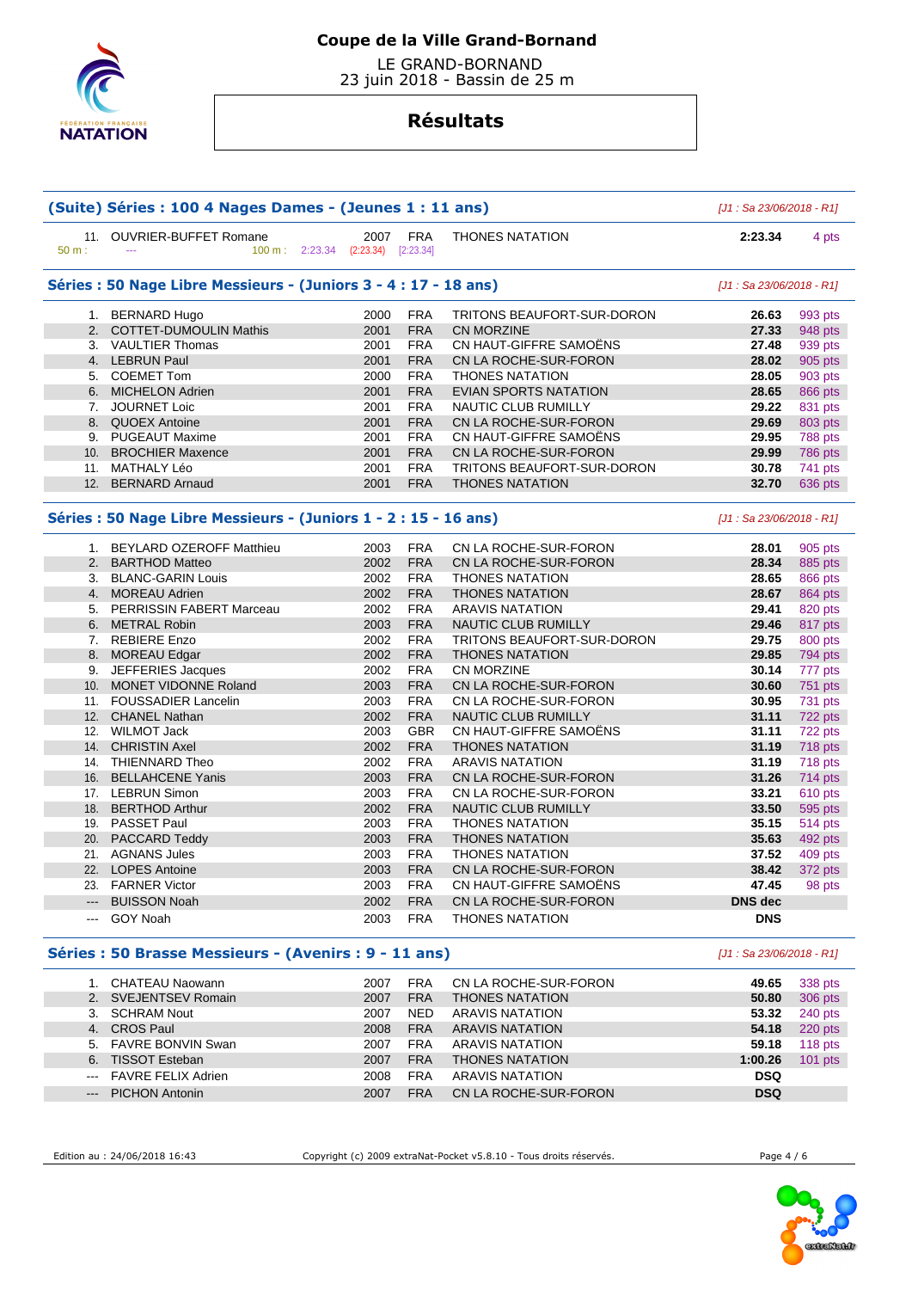

 LE GRAND-BORNAND 23 juin 2018 - Bassin de 25 m

# **Résultats**

|       | (Suite) Séries : 100 4 Nages Dames - (Jeunes 1 : 11 ans)         |      |            |                            | $[J1: Sa 23/06/2018 - R1]$ |           |
|-------|------------------------------------------------------------------|------|------------|----------------------------|----------------------------|-----------|
| 50 m: | 11. OUVRIER-BUFFET Romane<br>100 m : 2:23.34 (2:23.34) [2:23.34] |      | 2007 FRA   | <b>THONES NATATION</b>     | 2:23.34                    | 4 pts     |
|       | Séries : 50 Nage Libre Messieurs - (Juniors 3 - 4 : 17 - 18 ans) |      |            |                            | [J1 : Sa 23/06/2018 - R1]  |           |
|       | 1. BERNARD Hugo                                                  | 2000 | <b>FRA</b> | TRITONS BEAUFORT-SUR-DORON | 26.63                      | 993 pts   |
|       | 2. COTTET-DUMOULIN Mathis                                        | 2001 | <b>FRA</b> | <b>CN MORZINE</b>          | 27.33                      | 948 pts   |
|       | 3. VAULTIER Thomas                                               | 2001 | <b>FRA</b> | CN HAUT-GIFFRE SAMOËNS     | 27.48                      | 939 pts   |
|       | 4. LEBRUN Paul                                                   | 2001 | <b>FRA</b> | CN LA ROCHE-SUR-FORON      | 28.02                      | 905 pts   |
|       | 5. COEMET Tom                                                    | 2000 | <b>FRA</b> | <b>THONES NATATION</b>     | 28.05                      | 903 pts   |
|       | 6. MICHELON Adrien                                               | 2001 | <b>FRA</b> | EVIAN SPORTS NATATION      | 28.65                      | 866 pts   |
|       | 7. JOURNET Loic                                                  | 2001 | <b>FRA</b> | NAUTIC CLUB RUMILLY        | 29.22                      | 831 pts   |
|       | 8. QUOEX Antoine                                                 | 2001 | <b>FRA</b> | CN LA ROCHE-SUR-FORON      | 29.69                      | 803 pts   |
|       | 9. PUGEAUT Maxime                                                | 2001 | <b>FRA</b> | CN HAUT-GIFFRE SAMOENS     | 29.95                      | 788 pts   |
|       | 10. BROCHIER Maxence                                             | 2001 | <b>FRA</b> | CN LA ROCHE-SUR-FORON      | 29.99                      | 786 pts   |
|       | 11. MATHALY Léo                                                  | 2001 | <b>FRA</b> | TRITONS BEAUFORT-SUR-DORON | 30.78                      | 741 pts   |
|       | 12. BERNARD Arnaud                                               | 2001 | <b>FRA</b> | <b>THONES NATATION</b>     | 32.70                      | 636 pts   |
|       |                                                                  |      |            |                            |                            |           |
|       | Séries : 50 Nage Libre Messieurs - (Juniors 1 - 2 : 15 - 16 ans) |      |            |                            | [J1 : Sa 23/06/2018 - R1]  |           |
|       | 1. BEYLARD OZEROFF Matthieu                                      | 2003 | <b>FRA</b> | CN LA ROCHE-SUR-FORON      | 28.01                      | 905 pts   |
|       | 2. BARTHOD Matteo                                                | 2002 | <b>FRA</b> | CN LA ROCHE-SUR-FORON      | 28.34                      | 885 pts   |
|       | 3. BLANC-GARIN Louis                                             | 2002 | <b>FRA</b> | <b>THONES NATATION</b>     | 28.65                      | 866 pts   |
|       | 4. MOREAU Adrien                                                 | 2002 | <b>FRA</b> | <b>THONES NATATION</b>     | 28.67                      | 864 pts   |
|       | 5. PERRISSIN FABERT Marceau                                      | 2002 | <b>FRA</b> | <b>ARAVIS NATATION</b>     | 29.41                      | 820 pts   |
|       | 6. METRAL Robin                                                  | 2003 | <b>FRA</b> | NAUTIC CLUB RUMILLY        | 29.46                      | 817 pts   |
|       | 7. REBIERE Enzo                                                  | 2002 | <b>FRA</b> | TRITONS BEAUFORT-SUR-DORON | 29.75                      | 800 pts   |
|       | 8. MOREAU Edgar                                                  | 2002 | <b>FRA</b> | <b>THONES NATATION</b>     | 29.85                      | 794 pts   |
|       | 9. JEFFERIES Jacques                                             | 2002 | <b>FRA</b> | CN MORZINE                 | 30.14                      | 777 pts   |
|       | 10. MONET VIDONNE Roland                                         | 2003 | <b>FRA</b> | CN LA ROCHE-SUR-FORON      | 30.60                      | 751 pts   |
|       | 11. FOUSSADIER Lancelin                                          | 2003 | <b>FRA</b> | CN LA ROCHE-SUR-FORON      | 30.95                      |           |
|       |                                                                  | 2002 |            |                            |                            | 731 pts   |
|       | 12. CHANEL Nathan                                                |      | <b>FRA</b> | NAUTIC CLUB RUMILLY        | 31.11                      | 722 pts   |
|       | 12. WILMOT Jack                                                  | 2003 | <b>GBR</b> | CN HAUT-GIFFRE SAMOENS     | 31.11                      | 722 pts   |
|       | 14. CHRISTIN Axel                                                | 2002 | <b>FRA</b> | <b>THONES NATATION</b>     | 31.19                      | 718 pts   |
|       | 14. THIENNARD Theo                                               | 2002 | <b>FRA</b> | <b>ARAVIS NATATION</b>     | 31.19                      | 718 pts   |
|       | 16. BELLAHCENE Yanis                                             | 2003 | <b>FRA</b> | CN LA ROCHE-SUR-FORON      | 31.26                      | 714 pts   |
|       | 17. LEBRUN Simon                                                 | 2003 | <b>FRA</b> | CN LA ROCHE-SUR-FORON      | 33.21                      | 610 pts   |
|       | 18. BERTHOD Arthur                                               | 2002 | <b>FRA</b> | NAUTIC CLUB RUMILLY        | 33.50                      | 595 pts   |
|       | 19. PASSET Paul                                                  | 2003 | <b>FRA</b> | <b>THONES NATATION</b>     | 35.15                      | 514 pts   |
|       | 20. PACCARD Teddy                                                | 2003 | <b>FRA</b> | <b>THONES NATATION</b>     | 35.63                      | 492 pts   |
|       | 21. AGNANS Jules                                                 | 2003 | <b>FRA</b> | <b>THONES NATATION</b>     | 37.52                      | 409 pts   |
|       | 22. LOPES Antoine                                                | 2003 | <b>FRA</b> | CN LA ROCHE-SUR-FORON      | 38.42                      | 372 pts   |
|       | 23. FARNER Victor                                                | 2003 | <b>FRA</b> | CN HAUT-GIFFRE SAMOËNS     | 47.45                      | 98 pts    |
|       | <b>BUISSON Noah</b>                                              | 2002 | <b>FRA</b> | CN LA ROCHE-SUR-FORON      | DNS dec                    |           |
|       | GOY Noah                                                         | 2003 | <b>FRA</b> | <b>THONES NATATION</b>     | <b>DNS</b>                 |           |
|       | Séries : 50 Brasse Messieurs - (Avenirs : 9 - 11 ans)            |      |            |                            | $[J1: Sa 23/06/2018 - R1]$ |           |
|       | 1. CHATEAU Naowann                                               | 2007 | <b>FRA</b> | CN LA ROCHE-SUR-FORON      | 49.65                      | 338 pts   |
|       | 2. SVEJENTSEV Romain                                             | 2007 | <b>FRA</b> | <b>THONES NATATION</b>     | 50.80                      | 306 pts   |
|       | 3. SCHRAM Nout                                                   | 2007 | NED        | ARAVIS NATATION            | 53.32                      | 240 pts   |
|       |                                                                  |      |            | <b>ARAVIS NATATION</b>     |                            |           |
|       | 4. CROS Paul                                                     | 2008 | <b>FRA</b> |                            | 54.18                      | 220 pts   |
|       | 5. FAVRE BONVIN Swan                                             | 2007 | <b>FRA</b> | <b>ARAVIS NATATION</b>     | 59.18                      | 118 pts   |
|       | 6. TISSOT Esteban                                                | 2007 | <b>FRA</b> | <b>THONES NATATION</b>     | 1:00.26                    | $101$ pts |

Edition au : 24/06/2018 16:43 Copyright (c) 2009 extraNat-Pocket v5.8.10 - Tous droits réservés. Page 4 / 6

 --- FAVRE FELIX Adrien 2008 FRA ARAVIS NATATION **DSQ**  --- PICHON Antonin 2007 FRA CN LA ROCHE-SUR-FORON **DSQ** 

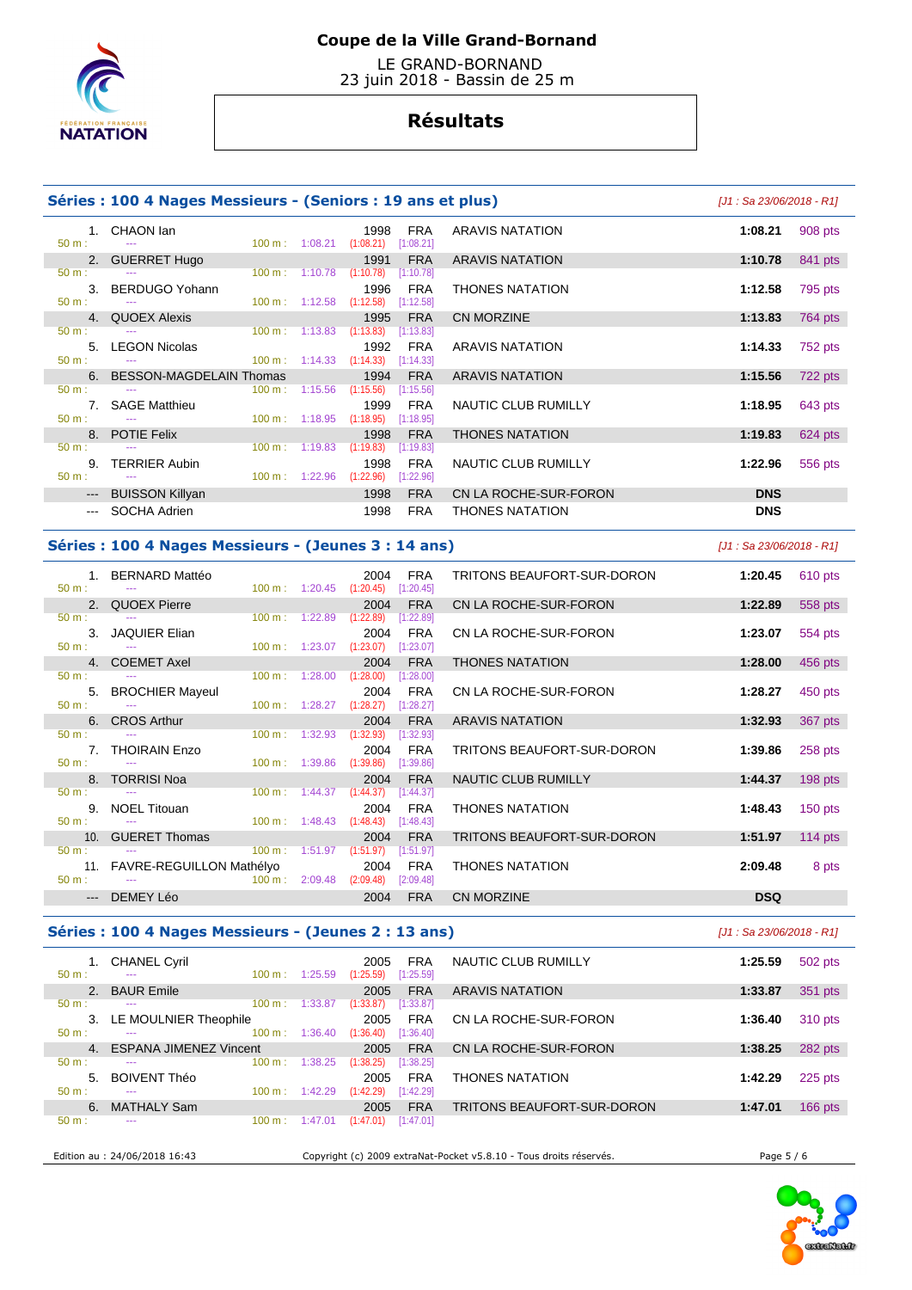

 LE GRAND-BORNAND 23 juin 2018 - Bassin de 25 m

## **Résultats**

#### **Séries : 100 4 Nages Messieurs - (Seniors : 19 ans et plus)** [J1 : Sa 23/06/2018 - R1]

#### 1. CHAON Ian 1998 FRA ARAVIS NATATION **1:08.21** 908 pts 50 m : --- 100 m : 1:08.21 (1:08.21) 2. GUERRET Hugo 1991 FRA ARAVIS NATATION **1:10.78** 841 pts 50 m : --- -- - - - - - - - - - - - - - 100 m : 1:10.78 (1:10.78) [1:10.78] 3. BERDUGO Yohann 1996 FRA THONES NATATION **1:12.58** 795 pts 50 m : --- 100 m : 1:12.58 (1:12.58) [1:12.58] 4. QUOEX Alexis 1995 FRA CN MORZINE **1:13.83** 764 pts 50 m : --- 100 m : 1:13.83 (1:13.83) [1:13.83] 5. LEGON Nicolas 1992 FRA ARAVIS NATATION **1:14.33** 752 pts  $(1:14.33)$  6. BESSON-MAGDELAIN Thomas 1994 FRA ARAVIS NATATION **1:15.56** 722 pts 50 m : --- -- - - - - - - - - - - - - 100 m : 1:15.56 (1:15.56) [1:15.56] 7. SAGE Matthieu 1999 FRA NAUTIC CLUB RUMILLY **1:18.95** 643 pts 50 m : --- 100 m : 1:18.95 (1:18.95) [1:18.95] 8. POTIE Felix 1998 FRA THONES NATATION **1:19.83** 624 pts **1:19.83** 624 pts **1:19.83 1:19.83 1:19.83 1:19.83 1:19.83 1:19.83 1:19.83 1:19.83 1:19.83 1:19.83 1:19.83 1:19.83 1:19.83 1:19.83 1:19.**  50 m : --- 100 m : 1:19.83 (1:19.83) [1:19.83] 9. TERRIER Aubin 1998 FRA NAUTIC CLUB RUMILLY **1:22.96** 556 pts 50 m : --- 100 m : 1:22.96 (1:22.96) [1:22.96] --- BUISSON Killyan **DNS** 1998 FRA CN LA ROCHE-SUR-FORON **DNS** SOCHA Adrien **DNS** 1998 FRA THONES NATATION **DNS**

#### **Séries : 100 4 Nages Messieurs - (Jeunes 3 : 14 ans)** [J1 : Sa 23/06/2018 - R1]

 1. BERNARD Mattéo 2004 FRA TRITONS BEAUFORT-SUR-DORON **1:20.45** 610 pts 50 m : --- 100 m : 1:20.45 (1:20.45) [1:20.45] 2. QUOEX Pierre 2004 FRA CN LA ROCHE-SUR-FORON **1:22.89** 558 pts 50 m : --- 100 m : 1:22.89 (1:22.89) [1:22.89] 3. JAQUIER Elian 2004 FRA CN LA ROCHE-SUR-FORON **1:23.07** 554 pts 50 m : --- - -- - - - - - - - - - - - - 100 m : 1:23.07 (1:23.07) [1:23.07] 4. COEMET Axel 2004 FRA THONES NATATION **1:28.00** 456 pts 50 m : --- 100 m : 1:28.00 (1:28.00) [1:28.00] 5. BROCHIER Mayeul 2004 FRA CN LA ROCHE-SUR-FORON **1:28.27** 450 pts 50 m : --- 100 m : 1:28.27 (1:28.27) [1:28.27] 6. CROS Arthur 2004 FRA ARAVIS NATATION **1:32.93** 367 pts 50 m : --- 100 m : 1:32.93 (1:32.93) [1:32.93] 7. THOIRAIN Enzo 2004 FRA TRITONS BEAUFORT-SUR-DORON **1:39.86** 258 pts 50 m : --- - -- - - - - - - - - - - - 100 m : 1:39.86 (1:39.86) [1:39.86] 8. TORRISI Noa 2004 FRA NAUTIC CLUB RUMILLY **1:44.37** 198 pts 50 m : --- 100 m : 1:44.37 (1:44.37) [1:44.37] 9. NOEL Titouan 2004 FRA THONES NATATION **1:48.43** 150 pts 50 m : --- 100 m : 1:48.43 (1:48.43) [1:48.43] 10. GUERET Thomas 2004 FRA TRITONS BEAUFORT-SUR-DORON **1:51.97** 114 pts 50 m : --- 100 m : 1:51.97 (1:51.97) [1:51.97] 11. FAVRE-REGUILLON Mathélyo 2004 FRA THONES NATATION **2:09.48** 8 pts 50 m : --- 100 m : 2:09.48 (2:09.48) [2:09.48] --- DEMEY Léo 2004 FRA CN MORZINE **DSQ** 

#### **Séries : 100 4 Nages Messieurs - (Jeunes 2 : 13 ans)** [J1 : Sa 23/06/2018 - R1]

| 50 m:        | <b>CHANEL Cyril</b><br>---    | $100 \text{ m}$ : | 1:25.59 | 2005<br>(1:25.59) | <b>FRA</b><br>[1:25.59] | NAUTIC CLUB RUMILLY                                                | 1:25.59    | 502 pts   |
|--------------|-------------------------------|-------------------|---------|-------------------|-------------------------|--------------------------------------------------------------------|------------|-----------|
| 2.           | <b>BAUR Emile</b>             |                   |         | 2005              | <b>FRA</b>              | <b>ARAVIS NATATION</b>                                             | 1:33.87    | 351 pts   |
| 50 m:        | ---                           | $100 \text{ m}$ : | 1:33.87 | (1:33.87)         | [1:33.87]               |                                                                    |            |           |
| 3.           | LE MOULNIER Theophile         |                   |         | 2005              | <b>FRA</b>              | CN LA ROCHE-SUR-FORON                                              | 1:36.40    | 310 pts   |
| $50 m$ :     | ---                           | 100 m:            | 1:36.40 | (1:36.40)         | [1:36.40]               |                                                                    |            |           |
| $\mathbf{4}$ | <b>ESPANA JIMENEZ Vincent</b> |                   |         | 2005              | <b>FRA</b>              | CN LA ROCHE-SUR-FORON                                              | 1:38.25    | 282 pts   |
| $50 m$ :     | ---                           | 100 m:            | 1:38.25 | (1:38.25)         | [1:38.25]               |                                                                    |            |           |
| 5.           | <b>BOIVENT Théo</b>           |                   |         | 2005              | <b>FRA</b>              | <b>THONES NATATION</b>                                             | 1:42.29    | 225 pts   |
| 50 m:        | ---                           | 100 m:            | 1:42.29 | (1:42.29)         | [1:42.29]               |                                                                    |            |           |
| 6.           | <b>MATHALY Sam</b>            |                   |         | 2005              | <b>FRA</b>              | TRITONS BEAUFORT-SUR-DORON                                         | 1:47.01    | $166$ pts |
| 50 m:        | ---                           | 100 m:            | 1:47.01 | (1:47.01)         | [1:47.01]               |                                                                    |            |           |
|              |                               |                   |         |                   |                         |                                                                    |            |           |
|              | Edition au : 24/06/2018 16:43 |                   |         |                   |                         | Copyright (c) 2009 extraNat-Pocket v5.8.10 - Tous droits réservés. | Page 5 / 6 |           |